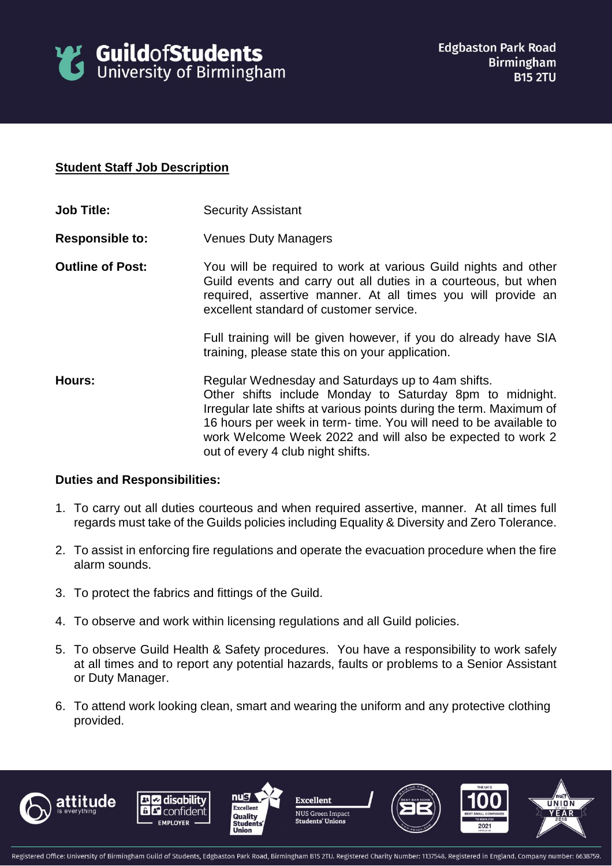

## **Student Staff Job Description**

- **Job Title:** Security Assistant
- **Responsible to:** Venues Duty Managers
- **Outline of Post:** You will be required to work at various Guild nights and other Guild events and carry out all duties in a courteous, but when required, assertive manner. At all times you will provide an excellent standard of customer service.

Full training will be given however, if you do already have SIA training, please state this on your application.

**Hours:** Regular Wednesday and Saturdays up to 4am shifts. Other shifts include Monday to Saturday 8pm to midnight. Irregular late shifts at various points during the term. Maximum of 16 hours per week in term- time. You will need to be available to work Welcome Week 2022 and will also be expected to work 2 out of every 4 club night shifts.

## **Duties and Responsibilities:**

- 1. To carry out all duties courteous and when required assertive, manner. At all times full regards must take of the Guilds policies including Equality & Diversity and Zero Tolerance.
- 2. To assist in enforcing fire regulations and operate the evacuation procedure when the fire alarm sounds.
- 3. To protect the fabrics and fittings of the Guild.
- 4. To observe and work within licensing regulations and all Guild policies.
- 5. To observe Guild Health & Safety procedures. You have a responsibility to work safely at all times and to report any potential hazards, faults or problems to a Senior Assistant or Duty Manager.
- 6. To attend work looking clean, smart and wearing the uniform and any protective clothing provided.











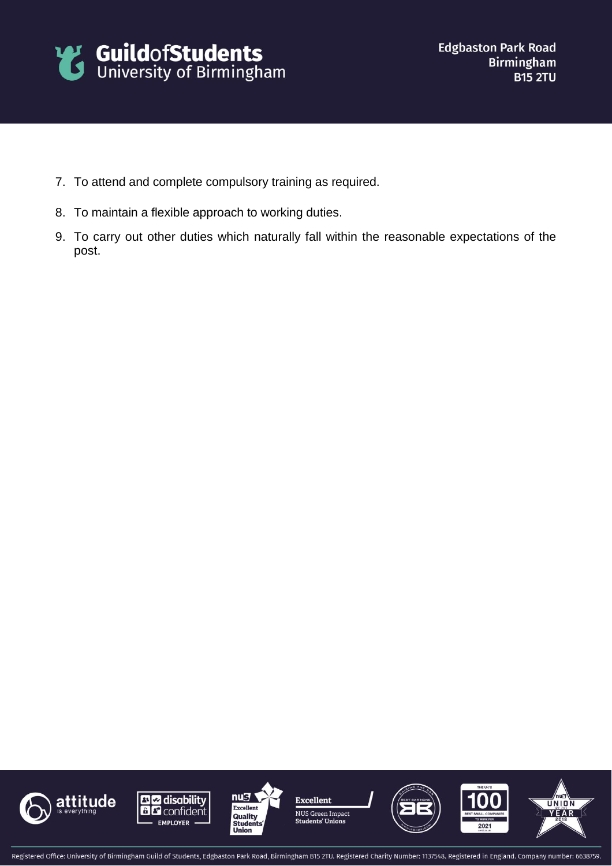

- 7. To attend and complete compulsory training as required.
- 8. To maintain a flexible approach to working duties.
- 9. To carry out other duties which naturally fall within the reasonable expectations of the post.